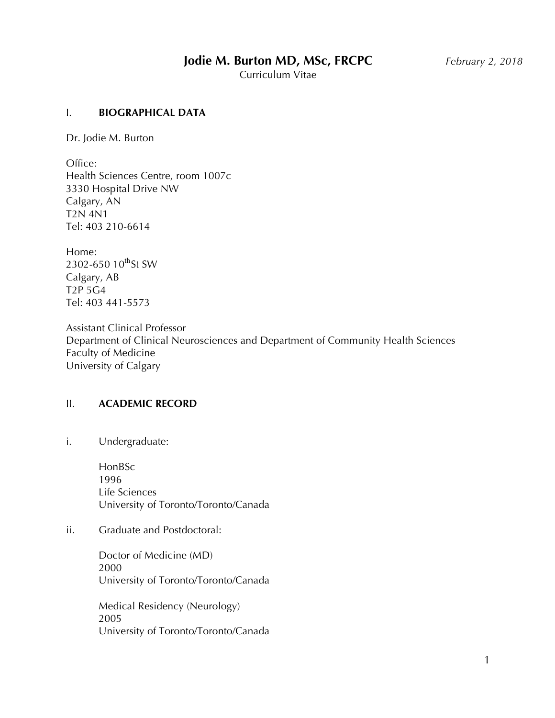# **Jodie M. Burton MD, MSc, FRCPC** *February 2, 2018*

Curriculum Vitae

#### I. **BIOGRAPHICAL DATA**

Dr. Jodie M. Burton

Office: Health Sciences Centre, room 1007c 3330 Hospital Drive NW Calgary, AN T2N 4N1 Tel: 403 210-6614

Home: 2302-650 10<sup>th</sup>St SW Calgary, AB T2P 5G4 Tel: 403 441-5573

Assistant Clinical Professor Department of Clinical Neurosciences and Department of Community Health Sciences Faculty of Medicine University of Calgary

# II. **ACADEMIC RECORD**

i. Undergraduate:

HonBSc 1996 Life Sciences University of Toronto/Toronto/Canada

# ii. Graduate and Postdoctoral:

Doctor of Medicine (MD) 2000 University of Toronto/Toronto/Canada

Medical Residency (Neurology) 2005 University of Toronto/Toronto/Canada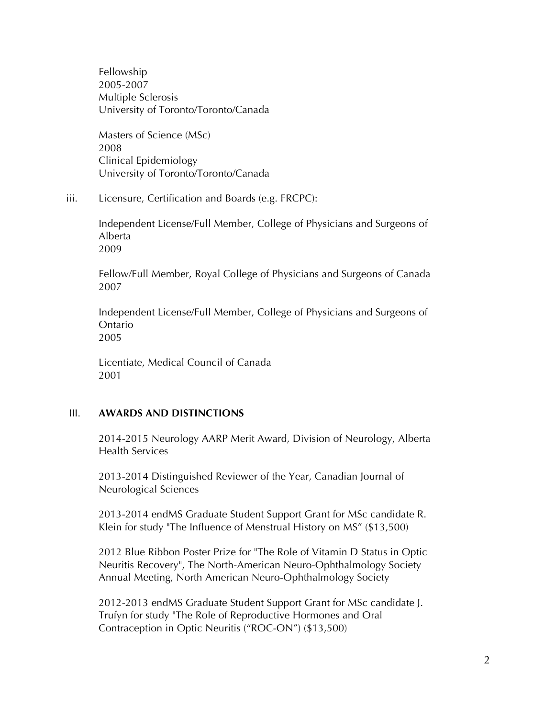Fellowship 2005-2007 Multiple Sclerosis University of Toronto/Toronto/Canada

Masters of Science (MSc) 2008 Clinical Epidemiology University of Toronto/Toronto/Canada

iii. Licensure, Certification and Boards (e.g. FRCPC):

Independent License/Full Member, College of Physicians and Surgeons of Alberta 2009

Fellow/Full Member, Royal College of Physicians and Surgeons of Canada 2007

Independent License/Full Member, College of Physicians and Surgeons of Ontario 2005

Licentiate, Medical Council of Canada 2001

# III. **AWARDS AND DISTINCTIONS**

2014-2015 Neurology AARP Merit Award, Division of Neurology, Alberta Health Services

2013-2014 Distinguished Reviewer of the Year, Canadian Journal of Neurological Sciences

2013-2014 endMS Graduate Student Support Grant for MSc candidate R. Klein for study "The Influence of Menstrual History on MS" (\$13,500)

2012 Blue Ribbon Poster Prize for "The Role of Vitamin D Status in Optic Neuritis Recovery", The North-American Neuro-Ophthalmology Society Annual Meeting, North American Neuro-Ophthalmology Society

2012-2013 endMS Graduate Student Support Grant for MSc candidate J. Trufyn for study "The Role of Reproductive Hormones and Oral Contraception in Optic Neuritis ("ROC-ON") (\$13,500)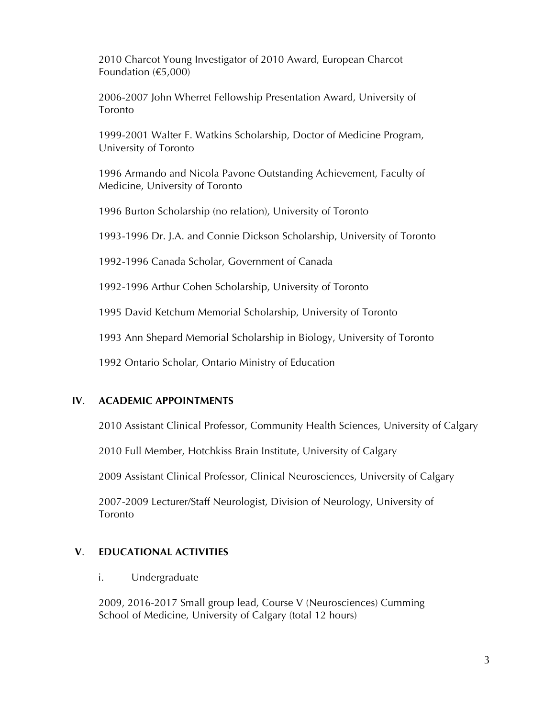2010 Charcot Young Investigator of 2010 Award, European Charcot Foundation (€5,000)

2006-2007 John Wherret Fellowship Presentation Award, University of Toronto

1999-2001 Walter F. Watkins Scholarship, Doctor of Medicine Program, University of Toronto

1996 Armando and Nicola Pavone Outstanding Achievement, Faculty of Medicine, University of Toronto

1996 Burton Scholarship (no relation), University of Toronto

1993-1996 Dr. J.A. and Connie Dickson Scholarship, University of Toronto

1992-1996 Canada Scholar, Government of Canada

1992-1996 Arthur Cohen Scholarship, University of Toronto

1995 David Ketchum Memorial Scholarship, University of Toronto

1993 Ann Shepard Memorial Scholarship in Biology, University of Toronto

1992 Ontario Scholar, Ontario Ministry of Education

#### **IV**. **ACADEMIC APPOINTMENTS**

2010 Assistant Clinical Professor, Community Health Sciences, University of Calgary

2010 Full Member, Hotchkiss Brain Institute, University of Calgary

2009 Assistant Clinical Professor, Clinical Neurosciences, University of Calgary

2007-2009 Lecturer/Staff Neurologist, Division of Neurology, University of Toronto

#### **V**. **EDUCATIONAL ACTIVITIES**

#### i. Undergraduate

2009, 2016-2017 Small group lead, Course V (Neurosciences) Cumming School of Medicine, University of Calgary (total 12 hours)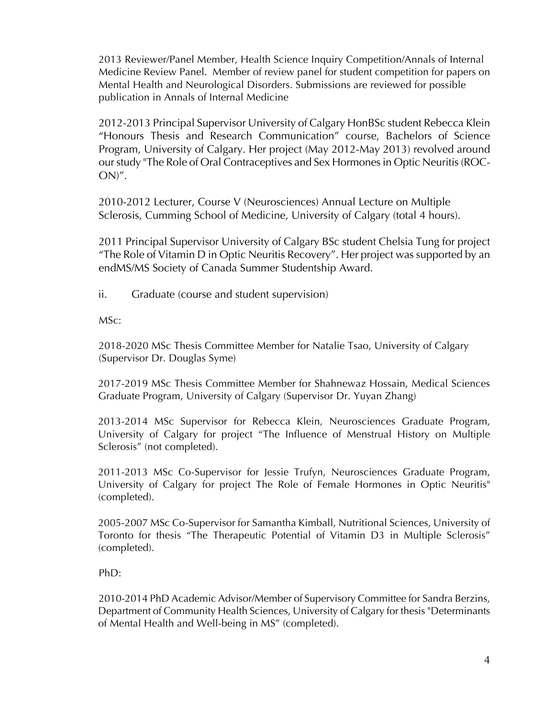2013 Reviewer/Panel Member, Health Science Inquiry Competition/Annals of Internal Medicine Review Panel. Member of review panel for student competition for papers on Mental Health and Neurological Disorders. Submissions are reviewed for possible publication in Annals of Internal Medicine

2012-2013 Principal Supervisor University of Calgary HonBSc student Rebecca Klein "Honours Thesis and Research Communication" course, Bachelors of Science Program, University of Calgary. Her project (May 2012-May 2013) revolved around our study "The Role of Oral Contraceptives and Sex Hormones in Optic Neuritis (ROC-ON)".

2010-2012 Lecturer, Course V (Neurosciences) Annual Lecture on Multiple Sclerosis, Cumming School of Medicine, University of Calgary (total 4 hours).

2011 Principal Supervisor University of Calgary BSc student Chelsia Tung for project "The Role of Vitamin D in Optic Neuritis Recovery". Her project was supported by an endMS/MS Society of Canada Summer Studentship Award.

ii. Graduate (course and student supervision)

MSc:

2018-2020 MSc Thesis Committee Member for Natalie Tsao, University of Calgary (Supervisor Dr. Douglas Syme)

2017-2019 MSc Thesis Committee Member for Shahnewaz Hossain, Medical Sciences Graduate Program, University of Calgary (Supervisor Dr. Yuyan Zhang)

2013-2014 MSc Supervisor for Rebecca Klein, Neurosciences Graduate Program, University of Calgary for project "The Influence of Menstrual History on Multiple Sclerosis" (not completed).

2011-2013 MSc Co-Supervisor for Jessie Trufyn, Neurosciences Graduate Program, University of Calgary for project The Role of Female Hormones in Optic Neuritis" (completed).

2005-2007 MSc Co-Supervisor for Samantha Kimball, Nutritional Sciences, University of Toronto for thesis "The Therapeutic Potential of Vitamin D3 in Multiple Sclerosis" (completed).

PhD:

2010-2014 PhD Academic Advisor/Member of Supervisory Committee for Sandra Berzins, Department of Community Health Sciences, University of Calgary for thesis "Determinants of Mental Health and Well-being in MS" (completed).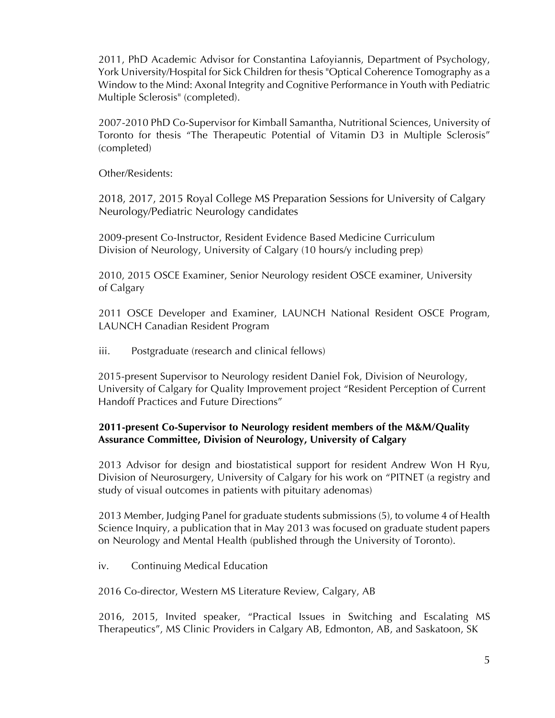2011, PhD Academic Advisor for Constantina Lafoyiannis, Department of Psychology, York University/Hospital for Sick Children for thesis "Optical Coherence Tomography as a Window to the Mind: Axonal Integrity and Cognitive Performance in Youth with Pediatric Multiple Sclerosis" (completed).

2007-2010 PhD Co-Supervisor for Kimball Samantha, Nutritional Sciences, University of Toronto for thesis "The Therapeutic Potential of Vitamin D3 in Multiple Sclerosis" (completed)

Other/Residents:

2018, 2017, 2015 Royal College MS Preparation Sessions for University of Calgary Neurology/Pediatric Neurology candidates

2009-present Co-Instructor, Resident Evidence Based Medicine Curriculum Division of Neurology, University of Calgary (10 hours/y including prep)

2010, 2015 OSCE Examiner, Senior Neurology resident OSCE examiner, University of Calgary

2011 OSCE Developer and Examiner, LAUNCH National Resident OSCE Program, LAUNCH Canadian Resident Program

iii. Postgraduate (research and clinical fellows)

2015-present Supervisor to Neurology resident Daniel Fok, Division of Neurology, University of Calgary for Quality Improvement project "Resident Perception of Current Handoff Practices and Future Directions"

# **2011-present Co-Supervisor to Neurology resident members of the M&M/Quality Assurance Committee, Division of Neurology, University of Calgary**

2013 Advisor for design and biostatistical support for resident Andrew Won H Ryu, Division of Neurosurgery, University of Calgary for his work on "PITNET (a registry and study of visual outcomes in patients with pituitary adenomas)

2013 Member, Judging Panel for graduate students submissions (5), to volume 4 of Health Science Inquiry, a publication that in May 2013 was focused on graduate student papers on Neurology and Mental Health (published through the University of Toronto).

iv. Continuing Medical Education

2016 Co-director, Western MS Literature Review, Calgary, AB

2016, 2015, Invited speaker, "Practical Issues in Switching and Escalating MS Therapeutics", MS Clinic Providers in Calgary AB, Edmonton, AB, and Saskatoon, SK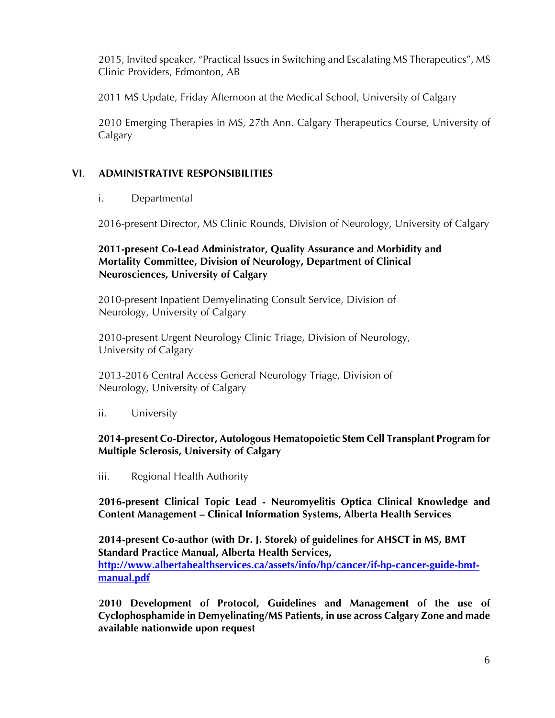2015, Invited speaker, "Practical Issues in Switching and Escalating MS Therapeutics", MS Clinic Providers, Edmonton, AB

2011 MS Update, Friday Afternoon at the Medical School, University of Calgary

2010 Emerging Therapies in MS, 27th Ann. Calgary Therapeutics Course, University of Calgary

# **VI**. **ADMINISTRATIVE RESPONSIBILITIES**

# i. Departmental

2016-present Director, MS Clinic Rounds, Division of Neurology, University of Calgary

# **2011-present Co-Lead Administrator, Quality Assurance and Morbidity and Mortality Committee, Division of Neurology, Department of Clinical Neurosciences, University of Calgary**

2010-present Inpatient Demyelinating Consult Service, Division of Neurology, University of Calgary

2010-present Urgent Neurology Clinic Triage, Division of Neurology, University of Calgary

2013-2016 Central Access General Neurology Triage, Division of Neurology, University of Calgary

ii. University

# **2014-present Co-Director, Autologous Hematopoietic Stem Cell Transplant Program for Multiple Sclerosis, University of Calgary**

iii. Regional Health Authority

**2016-present Clinical Topic Lead - Neuromyelitis Optica Clinical Knowledge and Content Management – Clinical Information Systems, Alberta Health Services**

**2014-present Co-author (with Dr. J. Storek) of guidelines for AHSCT in MS, BMT Standard Practice Manual, Alberta Health Services, http://www.albertahealthservices.ca/assets/info/hp/cancer/if-hp-cancer-guide-bmtmanual.pdf**

**2010 Development of Protocol, Guidelines and Management of the use of Cyclophosphamide in Demyelinating/MS Patients, in use across Calgary Zone and made available nationwide upon request**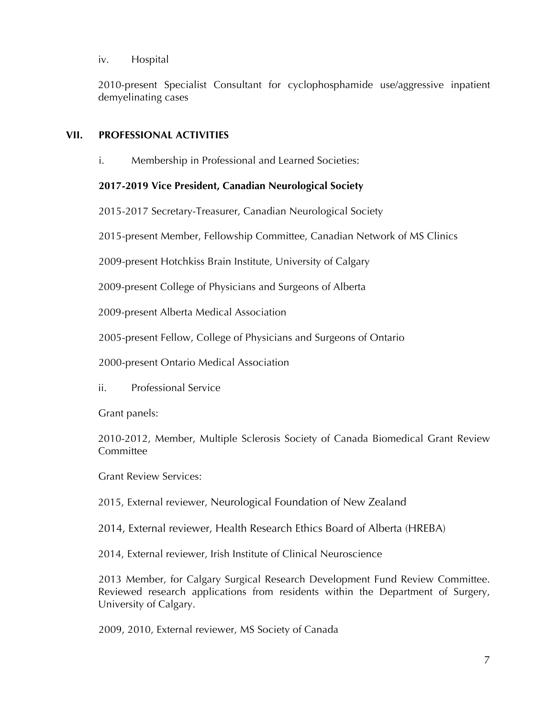#### iv. Hospital

2010-present Specialist Consultant for cyclophosphamide use/aggressive inpatient demyelinating cases

# **VII. PROFESSIONAL ACTIVITIES**

i. Membership in Professional and Learned Societies:

# **2017-2019 Vice President, Canadian Neurological Society**

2015-2017 Secretary-Treasurer, Canadian Neurological Society

2015-present Member, Fellowship Committee, Canadian Network of MS Clinics

2009-present Hotchkiss Brain Institute, University of Calgary

2009-present College of Physicians and Surgeons of Alberta

2009-present Alberta Medical Association

2005-present Fellow, College of Physicians and Surgeons of Ontario

2000-present Ontario Medical Association

ii. Professional Service

Grant panels:

2010-2012, Member, Multiple Sclerosis Society of Canada Biomedical Grant Review **Committee** 

Grant Review Services:

2015, External reviewer, Neurological Foundation of New Zealand

2014, External reviewer, Health Research Ethics Board of Alberta (HREBA)

2014, External reviewer, Irish Institute of Clinical Neuroscience

2013 Member, for Calgary Surgical Research Development Fund Review Committee. Reviewed research applications from residents within the Department of Surgery, University of Calgary.

2009, 2010, External reviewer, MS Society of Canada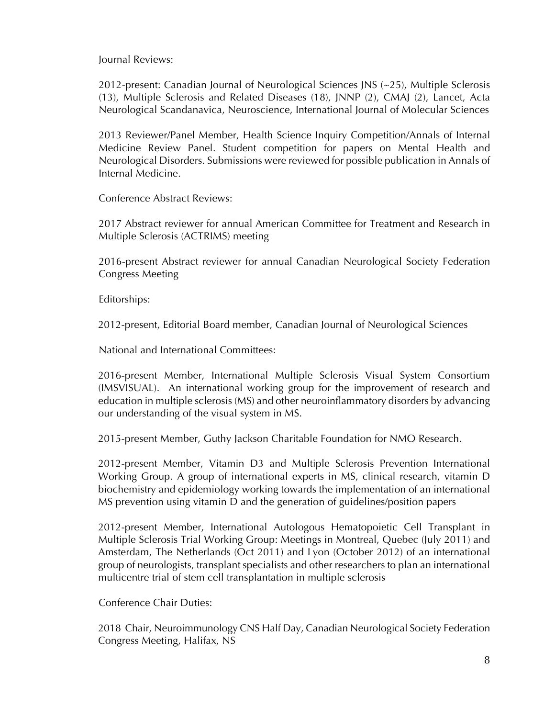Journal Reviews:

2012-present: Canadian Journal of Neurological Sciences JNS (~25), Multiple Sclerosis (13), Multiple Sclerosis and Related Diseases (18), JNNP (2), CMAJ (2), Lancet, Acta Neurological Scandanavica, Neuroscience, International Journal of Molecular Sciences

2013 Reviewer/Panel Member, Health Science Inquiry Competition/Annals of Internal Medicine Review Panel. Student competition for papers on Mental Health and Neurological Disorders. Submissions were reviewed for possible publication in Annals of Internal Medicine.

Conference Abstract Reviews:

2017 Abstract reviewer for annual American Committee for Treatment and Research in Multiple Sclerosis (ACTRIMS) meeting

2016-present Abstract reviewer for annual Canadian Neurological Society Federation Congress Meeting

Editorships:

2012-present, Editorial Board member, Canadian Journal of Neurological Sciences

National and International Committees:

2016-present Member, International Multiple Sclerosis Visual System Consortium (IMSVISUAL). An international working group for the improvement of research and education in multiple sclerosis (MS) and other neuroinflammatory disorders by advancing our understanding of the visual system in MS.

2015-present Member, Guthy Jackson Charitable Foundation for NMO Research.

2012-present Member, Vitamin D3 and Multiple Sclerosis Prevention International Working Group. A group of international experts in MS, clinical research, vitamin D biochemistry and epidemiology working towards the implementation of an international MS prevention using vitamin D and the generation of guidelines/position papers

2012-present Member, International Autologous Hematopoietic Cell Transplant in Multiple Sclerosis Trial Working Group: Meetings in Montreal, Quebec (July 2011) and Amsterdam, The Netherlands (Oct 2011) and Lyon (October 2012) of an international group of neurologists, transplant specialists and other researchers to plan an international multicentre trial of stem cell transplantation in multiple sclerosis

Conference Chair Duties:

2018 Chair, Neuroimmunology CNS Half Day, Canadian Neurological Society Federation Congress Meeting, Halifax, NS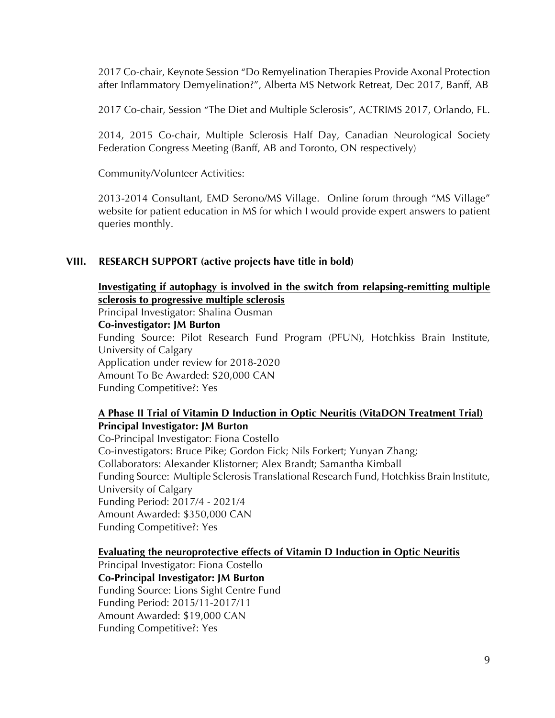2017 Co-chair, Keynote Session "Do Remyelination Therapies Provide Axonal Protection after Inflammatory Demyelination?", Alberta MS Network Retreat, Dec 2017, Banff, AB

2017 Co-chair, Session "The Diet and Multiple Sclerosis", ACTRIMS 2017, Orlando, FL.

2014, 2015 Co-chair, Multiple Sclerosis Half Day, Canadian Neurological Society Federation Congress Meeting (Banff, AB and Toronto, ON respectively)

Community/Volunteer Activities:

2013-2014 Consultant, EMD Serono/MS Village. Online forum through "MS Village" website for patient education in MS for which I would provide expert answers to patient queries monthly.

#### **VIII. RESEARCH SUPPORT (active projects have title in bold)**

**Investigating if autophagy is involved in the switch from relapsing-remitting multiple sclerosis to progressive multiple sclerosis**

Principal Investigator: Shalina Ousman

**Co-investigator: JM Burton**

Funding Source: Pilot Research Fund Program (PFUN), Hotchkiss Brain Institute, University of Calgary Application under review for 2018-2020 Amount To Be Awarded: \$20,000 CAN Funding Competitive?: Yes

# **A Phase II Trial of Vitamin D Induction in Optic Neuritis (VitaDON Treatment Trial) Principal Investigator: JM Burton**

Co-Principal Investigator: Fiona Costello Co-investigators: Bruce Pike; Gordon Fick; Nils Forkert; Yunyan Zhang; Collaborators: Alexander Klistorner; Alex Brandt; Samantha Kimball Funding Source: Multiple Sclerosis Translational Research Fund, Hotchkiss Brain Institute, University of Calgary Funding Period: 2017/4 - 2021/4 Amount Awarded: \$350,000 CAN Funding Competitive?: Yes

#### **Evaluating the neuroprotective effects of Vitamin D Induction in Optic Neuritis**

Principal Investigator: Fiona Costello **Co-Principal Investigator: JM Burton** Funding Source: Lions Sight Centre Fund Funding Period: 2015/11-2017/11 Amount Awarded: \$19,000 CAN Funding Competitive?: Yes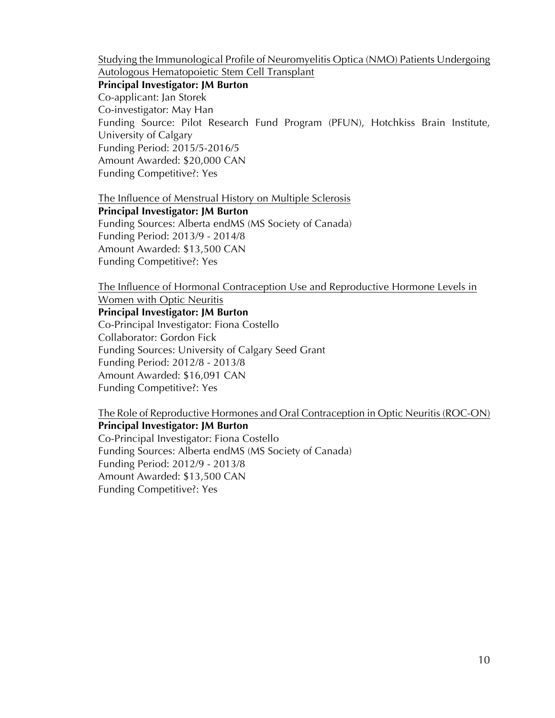Studying the Immunological Profile of Neuromyelitis Optica (NMO) Patients Undergoing Autologous Hematopoietic Stem Cell Transplant

**Principal Investigator: JM Burton** Co-applicant: Jan Storek Co-investigator: May Han Funding Source: Pilot Research Fund Program (PFUN), Hotchkiss Brain Institute, University of Calgary Funding Period: 2015/5-2016/5 Amount Awarded: \$20,000 CAN Funding Competitive?: Yes

The Influence of Menstrual History on Multiple Sclerosis

**Principal Investigator: JM Burton** Funding Sources: Alberta endMS (MS Society of Canada) Funding Period: 2013/9 - 2014/8 Amount Awarded: \$13,500 CAN Funding Competitive?: Yes

The Influence of Hormonal Contraception Use and Reproductive Hormone Levels in Women with Optic Neuritis

**Principal Investigator: JM Burton**

Co-Principal Investigator: Fiona Costello Collaborator: Gordon Fick Funding Sources: University of Calgary Seed Grant Funding Period: 2012/8 - 2013/8 Amount Awarded: \$16,091 CAN Funding Competitive?: Yes

The Role of Reproductive Hormones and Oral Contraception in Optic Neuritis (ROC-ON)

**Principal Investigator: JM Burton**

Co-Principal Investigator: Fiona Costello Funding Sources: Alberta endMS (MS Society of Canada) Funding Period: 2012/9 - 2013/8 Amount Awarded: \$13,500 CAN Funding Competitive?: Yes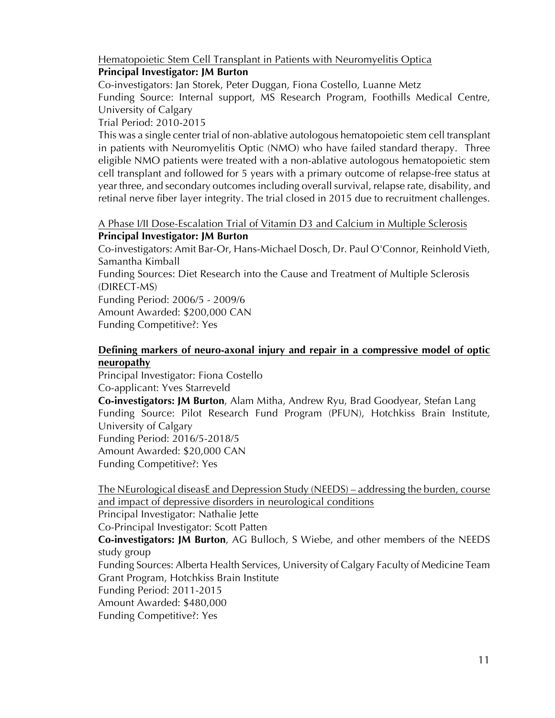Hematopoietic Stem Cell Transplant in Patients with Neuromyelitis Optica

# **Principal Investigator: JM Burton**

Co-investigators: Jan Storek, Peter Duggan, Fiona Costello, Luanne Metz

Funding Source: Internal support, MS Research Program, Foothills Medical Centre, University of Calgary

Trial Period: 2010-2015

This was a single center trial of non-ablative autologous hematopoietic stem cell transplant in patients with Neuromyelitis Optic (NMO) who have failed standard therapy. Three eligible NMO patients were treated with a non-ablative autologous hematopoietic stem cell transplant and followed for 5 years with a primary outcome of relapse-free status at year three, and secondary outcomes including overall survival, relapse rate, disability, and retinal nerve fiber layer integrity. The trial closed in 2015 due to recruitment challenges.

A Phase I/II Dose-Escalation Trial of Vitamin D3 and Calcium in Multiple Sclerosis **Principal Investigator: JM Burton**

Co-investigators: Amit Bar-Or, Hans-Michael Dosch, Dr. Paul O'Connor, Reinhold Vieth, Samantha Kimball

Funding Sources: Diet Research into the Cause and Treatment of Multiple Sclerosis (DIRECT-MS)

Funding Period: 2006/5 - 2009/6 Amount Awarded: \$200,000 CAN

Funding Competitive?: Yes

# **Defining markers of neuro-axonal injury and repair in a compressive model of optic neuropathy**

Principal Investigator: Fiona Costello Co-applicant: Yves Starreveld **Co-investigators: JM Burton**, Alam Mitha, Andrew Ryu, Brad Goodyear, Stefan Lang

Funding Source: Pilot Research Fund Program (PFUN), Hotchkiss Brain Institute, University of Calgary Funding Period: 2016/5-2018/5

Amount Awarded: \$20,000 CAN

Funding Competitive?: Yes

The NEurological diseasE and Depression Study (NEEDS) – addressing the burden, course and impact of depressive disorders in neurological conditions

Principal Investigator: Nathalie Jette

Co-Principal Investigator: Scott Patten

**Co-investigators: JM Burton**, AG Bulloch, S Wiebe, and other members of the NEEDS study group

Funding Sources: Alberta Health Services, University of Calgary Faculty of Medicine Team Grant Program, Hotchkiss Brain Institute

Funding Period: 2011-2015

Amount Awarded: \$480,000

Funding Competitive?: Yes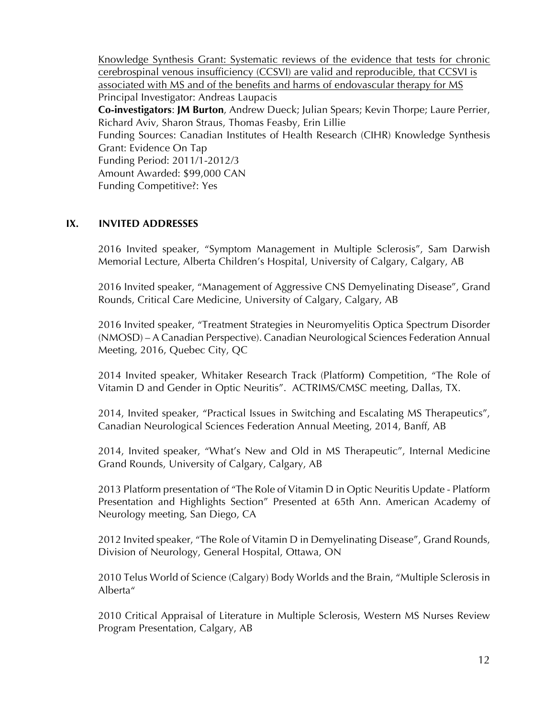Knowledge Synthesis Grant: Systematic reviews of the evidence that tests for chronic cerebrospinal venous insufficiency (CCSVI) are valid and reproducible, that CCSVI is associated with MS and of the benefits and harms of endovascular therapy for MS Principal Investigator: Andreas Laupacis **Co-investigators**: **JM Burton**, Andrew Dueck; Julian Spears; Kevin Thorpe; Laure Perrier, Richard Aviv, Sharon Straus, Thomas Feasby, Erin Lillie Funding Sources: Canadian Institutes of Health Research (CIHR) Knowledge Synthesis Grant: Evidence On Tap Funding Period: 2011/1-2012/3 Amount Awarded: \$99,000 CAN Funding Competitive?: Yes

#### **IX. INVITED ADDRESSES**

2016 Invited speaker, "Symptom Management in Multiple Sclerosis", Sam Darwish Memorial Lecture, Alberta Children's Hospital, University of Calgary, Calgary, AB

2016 Invited speaker, "Management of Aggressive CNS Demyelinating Disease", Grand Rounds, Critical Care Medicine, University of Calgary, Calgary, AB

2016 Invited speaker, "Treatment Strategies in Neuromyelitis Optica Spectrum Disorder (NMOSD) – A Canadian Perspective). Canadian Neurological Sciences Federation Annual Meeting, 2016, Quebec City, QC

2014 Invited speaker, Whitaker Research Track (Platform**)** Competition, "The Role of Vitamin D and Gender in Optic Neuritis". ACTRIMS/CMSC meeting, Dallas, TX.

2014, Invited speaker, "Practical Issues in Switching and Escalating MS Therapeutics", Canadian Neurological Sciences Federation Annual Meeting, 2014, Banff, AB

2014, Invited speaker, "What's New and Old in MS Therapeutic", Internal Medicine Grand Rounds, University of Calgary, Calgary, AB

2013 Platform presentation of "The Role of Vitamin D in Optic Neuritis Update - Platform Presentation and Highlights Section" Presented at 65th Ann. American Academy of Neurology meeting, San Diego, CA

2012 Invited speaker, "The Role of Vitamin D in Demyelinating Disease", Grand Rounds, Division of Neurology, General Hospital, Ottawa, ON

2010 Telus World of Science (Calgary) Body Worlds and the Brain, "Multiple Sclerosis in Alberta"

2010 Critical Appraisal of Literature in Multiple Sclerosis, Western MS Nurses Review Program Presentation, Calgary, AB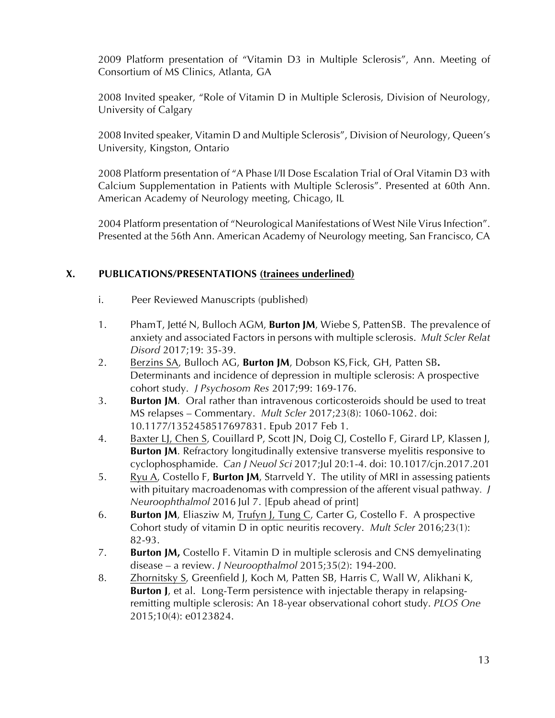2009 Platform presentation of "Vitamin D3 in Multiple Sclerosis", Ann. Meeting of Consortium of MS Clinics, Atlanta, GA

2008 Invited speaker, "Role of Vitamin D in Multiple Sclerosis, Division of Neurology, University of Calgary

2008 Invited speaker, Vitamin D and Multiple Sclerosis", Division of Neurology, Queen's University, Kingston, Ontario

2008 Platform presentation of "A Phase I/II Dose Escalation Trial of Oral Vitamin D3 with Calcium Supplementation in Patients with Multiple Sclerosis". Presented at 60th Ann. American Academy of Neurology meeting, Chicago, IL

2004 Platform presentation of "Neurological Manifestations of West Nile Virus Infection". Presented at the 56th Ann. American Academy of Neurology meeting, San Francisco, CA

# **X. PUBLICATIONS/PRESENTATIONS (trainees underlined)**

- i. Peer Reviewed Manuscripts (published)
- 1. PhamT, Jetté N, Bulloch AGM, **Burton JM**, Wiebe S, PattenSB. The prevalence of anxiety and associated Factors in persons with multiple sclerosis. *Mult Scler Relat Disord* 2017;19: 35-39.
- 2. Berzins SA, Bulloch AG, **Burton JM**, Dobson KS,Fick, GH, Patten SB**.**  Determinants and incidence of depression in multiple sclerosis: A prospective cohort study. *J Psychosom Res* 2017;99: 169-176.
- 3. **Burton JM**. Oral rather than intravenous corticosteroids should be used to treat MS relapses – Commentary. *Mult Scler* 2017;23(8): 1060-1062. doi: 10.1177/1352458517697831. Epub 2017 Feb 1.
- 4. Baxter LJ, Chen S, Couillard P, Scott JN, Doig CJ, Costello F, Girard LP, Klassen J, **Burton JM.** Refractory longitudinally extensive transverse myelitis responsive to cyclophosphamide. *Can J Neuol Sci* 2017;Jul 20:1-4. doi: 10.1017/cjn.2017.201
- 5. Ryu A, Costello F, **Burton JM**, Starrveld Y. The utility of MRI in assessing patients with pituitary macroadenomas with compression of the afferent visual pathway*. J Neuroophthalmol* 2016 Jul 7. [Epub ahead of print]
- 6. **Burton JM**, Eliasziw M, Trufyn J, Tung C, Carter G, Costello F. A prospective Cohort study of vitamin D in optic neuritis recovery. *Mult Scler* 2016;23(1): 82-93.
- 7. **Burton JM,** Costello F. Vitamin D in multiple sclerosis and CNS demyelinating disease – a review. *J Neuroopthalmol* 2015;35(2): 194-200.
- 8. Zhornitsky S, Greenfield J, Koch M, Patten SB, Harris C, Wall W, Alikhani K, **Burton J**, et al. Long-Term persistence with injectable therapy in relapsingremitting multiple sclerosis: An 18-year observational cohort study. *PLOS One* 2015;10(4): e0123824.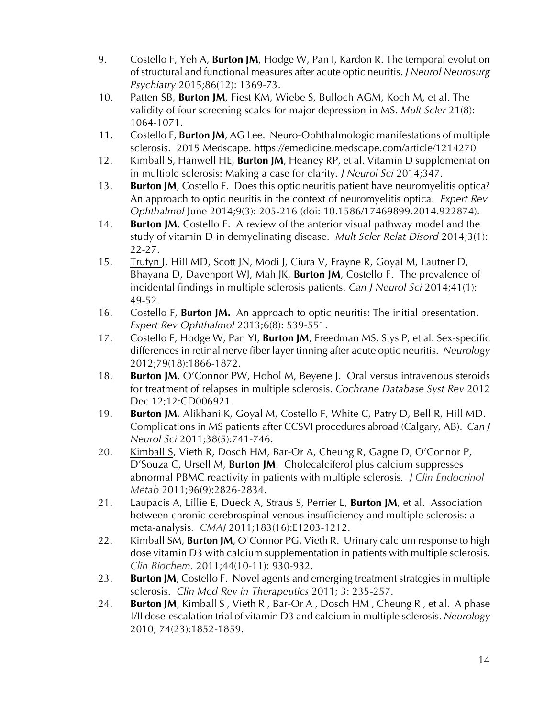- 9. Costello F, Yeh A, **Burton JM**, Hodge W, Pan I, Kardon R. The temporal evolution of structural and functional measures after acute optic neuritis. *J Neurol Neurosurg Psychiatry* 2015;86(12): 1369-73.
- 10. Patten SB, **Burton JM**, Fiest KM, Wiebe S, Bulloch AGM, Koch M, et al. The validity of four screening scales for major depression in MS. *Mult Scler* 21(8): 1064-1071.
- 11. Costello F, **Burton JM**, AG Lee. Neuro-Ophthalmologic manifestations of multiple sclerosis. 2015 Medscape. https://emedicine.medscape.com/article/1214270
- 12. Kimball S, Hanwell HE, **Burton JM**, Heaney RP, et al. Vitamin D supplementation in multiple sclerosis: Making a case for clarity. *J Neurol Sci* 2014;347.
- 13. **Burton JM**, Costello F. Does this optic neuritis patient have neuromyelitis optica? An approach to optic neuritis in the context of neuromyelitis optica. *Expert Rev Ophthalmol* June 2014;9(3): 205-216 (doi: 10.1586/17469899.2014.922874).
- 14. **Burton JM**, Costello F. A review of the anterior visual pathway model and the study of vitamin D in demyelinating disease. *Mult Scler Relat Disord* 2014;3(1): 22-27.
- 15. Trufyn J, Hill MD, Scott JN, Modi J, Ciura V, Frayne R, Goyal M, Lautner D, Bhayana D, Davenport WJ, Mah JK, **Burton JM**, Costello F. The prevalence of incidental findings in multiple sclerosis patients. *Can J Neurol Sci* 2014;41(1): 49-52.
- 16. Costello F, **Burton JM.** An approach to optic neuritis: The initial presentation. *Expert Rev Ophthalmol* 2013;6(8): 539-551.
- 17. Costello F, Hodge W, Pan YI, **Burton JM**, Freedman MS, Stys P, et al. Sex-specific differences in retinal nerve fiber layer tinning after acute optic neuritis. *Neurology* 2012;79(18):1866-1872.
- 18. **Burton JM**, O'Connor PW, Hohol M, Beyene J. Oral versus intravenous steroids for treatment of relapses in multiple sclerosis. *Cochrane Database Syst Rev* 2012 Dec 12;12:CD006921.
- 19. **Burton JM**, Alikhani K, Goyal M, Costello F, White C, Patry D, Bell R, Hill MD. Complications in MS patients after CCSVI procedures abroad (Calgary, AB). *Can J Neurol Sci* 2011;38(5):741-746.
- 20. Kimball S, Vieth R, Dosch HM, Bar-Or A, Cheung R, Gagne D, O'Connor P, D'Souza C, Ursell M, **Burton JM**. Cholecalciferol plus calcium suppresses abnormal PBMC reactivity in patients with multiple sclerosis*. J Clin Endocrinol Metab* 2011;96(9):2826-2834.
- 21. Laupacis A, Lillie E, Dueck A, Straus S, Perrier L, **Burton JM**, et al. Association between chronic cerebrospinal venous insufficiency and multiple sclerosis: a meta-analysis*. CMAJ* 2011;183(16):E1203-1212.
- 22. Kimball SM, **Burton JM**, O'Connor PG, Vieth R. Urinary calcium response to high dose vitamin D3 with calcium supplementation in patients with multiple sclerosis. *Clin Biochem.* 2011;44(10-11): 930-932.
- 23. **Burton JM**, Costello F. Novel agents and emerging treatment strategies in multiple sclerosis. *Clin Med Rev in Therapeutics* 2011; 3: 235-257.
- 24. **Burton JM**, Kimball S, Vieth R, Bar-Or A, Dosch HM, Cheung R, et al. A phase I/II dose-escalation trial of vitamin D3 and calcium in multiple sclerosis. *Neurology* 2010; 74(23):1852-1859.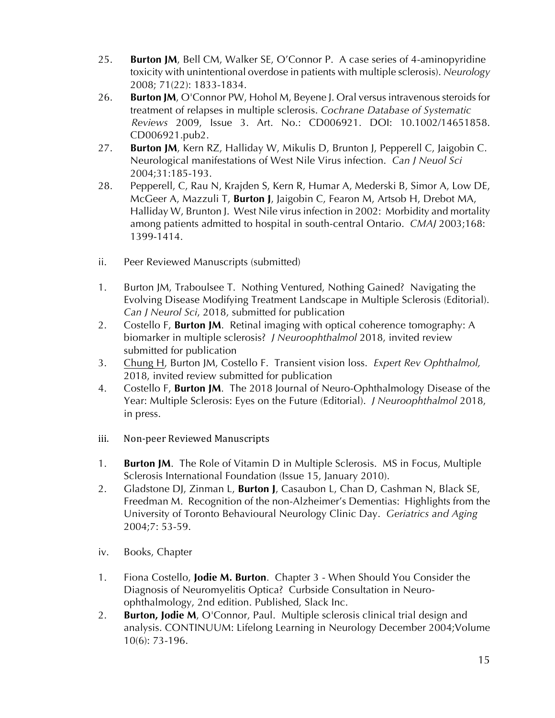- 25. **Burton JM**, Bell CM, Walker SE, O'Connor P. A case series of 4-aminopyridine toxicity with unintentional overdose in patients with multiple sclerosis). *Neurology* 2008; 71(22): 1833-1834.
- 26. **Burton JM**, O'Connor PW, Hohol M, Beyene J. Oral versus intravenous steroids for treatment of relapses in multiple sclerosis. *Cochrane Database of Systematic Reviews* 2009, Issue 3. Art. No.: CD006921. DOI: 10.1002/14651858. CD006921.pub2.
- 27. **Burton JM**, Kern RZ, Halliday W, Mikulis D, Brunton J, Pepperell C, Jaigobin C. Neurological manifestations of West Nile Virus infection. *Can J Neuol Sci* 2004;31:185-193.
- 28. Pepperell, C, Rau N, Krajden S, Kern R, Humar A, Mederski B, Simor A, Low DE, McGeer A, Mazzuli T, **Burton J**, Jaigobin C, Fearon M, Artsob H, Drebot MA, Halliday W, Brunton J. West Nile virus infection in 2002: Morbidity and mortality among patients admitted to hospital in south-central Ontario. *CMAJ* 2003;168: 1399-1414.
- ii. Peer Reviewed Manuscripts (submitted)
- 1. Burton JM, Traboulsee T. Nothing Ventured, Nothing Gained? Navigating the Evolving Disease Modifying Treatment Landscape in Multiple Sclerosis (Editorial). *Can J Neurol Sci*, 2018, submitted for publication
- 2. Costello F, **Burton JM**. Retinal imaging with optical coherence tomography: A biomarker in multiple sclerosis? *J Neuroophthalmol* 2018, invited review submitted for publication
- 3. Chung H, Burton JM, Costello F. Transient vision loss. *Expert Rev Ophthalmol,* 2018, invited review submitted for publication
- 4. Costello F, **Burton JM**. The 2018 Journal of Neuro-Ophthalmology Disease of the Year: Multiple Sclerosis: Eyes on the Future (Editorial). *J Neuroophthalmol* 2018, in press.
- iii. Non-peer Reviewed Manuscripts
- 1. **Burton JM**. The Role of Vitamin D in Multiple Sclerosis. MS in Focus, Multiple Sclerosis International Foundation (Issue 15, January 2010).
- 2. Gladstone DJ, Zinman L, **Burton J**, Casaubon L, Chan D, Cashman N, Black SE, Freedman M. Recognition of the non-Alzheimer's Dementias: Highlights from the University of Toronto Behavioural Neurology Clinic Day. *Geriatrics and Aging* 2004;7: 53-59.
- iv. Books, Chapter
- 1. Fiona Costello, **Jodie M. Burton**. Chapter 3 When Should You Consider the Diagnosis of Neuromyelitis Optica? Curbside Consultation in Neuroophthalmology, 2nd edition. Published, Slack Inc.
- 2. **Burton, Jodie M**, O'Connor, Paul. Multiple sclerosis clinical trial design and analysis. CONTINUUM: Lifelong Learning in Neurology December 2004;Volume 10(6): 73-196.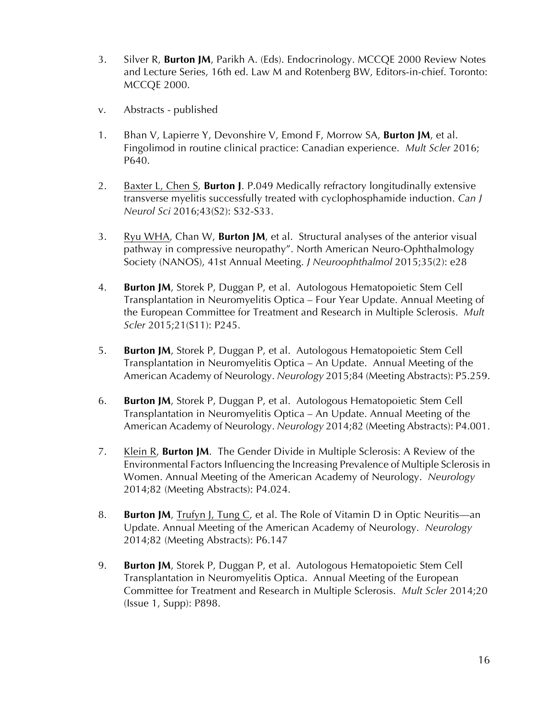- 3. Silver R, **Burton JM**, Parikh A. (Eds). Endocrinology. MCCQE 2000 Review Notes and Lecture Series, 16th ed. Law M and Rotenberg BW, Editors-in-chief. Toronto: MCCQE 2000.
- v. Abstracts published
- 1. Bhan V, Lapierre Y, Devonshire V, Emond F, Morrow SA, **Burton JM**, et al. Fingolimod in routine clinical practice: Canadian experience. *Mult Scler* 2016; P640.
- 2. Baxter L, Chen S, **Burton J**. P.049 Medically refractory longitudinally extensive transverse myelitis successfully treated with cyclophosphamide induction. *Can J Neurol Sci* 2016;43(S2): S32-S33.
- 3. Ryu WHA, Chan W, **Burton JM**, et al. Structural analyses of the anterior visual pathway in compressive neuropathy". North American Neuro-Ophthalmology Society (NANOS), 41st Annual Meeting. *J Neuroophthalmol* 2015;35(2): e28
- 4. **Burton JM**, Storek P, Duggan P, et al. Autologous Hematopoietic Stem Cell Transplantation in Neuromyelitis Optica – Four Year Update. Annual Meeting of the European Committee for Treatment and Research in Multiple Sclerosis. *Mult Scler* 2015;21(S11): P245.
- 5. **Burton JM**, Storek P, Duggan P, et al. Autologous Hematopoietic Stem Cell Transplantation in Neuromyelitis Optica – An Update. Annual Meeting of the American Academy of Neurology. *Neurology* 2015;84 (Meeting Abstracts): P5.259.
- 6. **Burton JM**, Storek P, Duggan P, et al. Autologous Hematopoietic Stem Cell Transplantation in Neuromyelitis Optica – An Update. Annual Meeting of the American Academy of Neurology. *Neurology* 2014;82 (Meeting Abstracts): P4.001.
- 7. Klein R, **Burton JM**. The Gender Divide in Multiple Sclerosis: A Review of the Environmental Factors Influencing the Increasing Prevalence of Multiple Sclerosis in Women. Annual Meeting of the American Academy of Neurology. *Neurology* 2014;82 (Meeting Abstracts): P4.024.
- 8. **Burton JM**, Trufyn J, Tung C, et al. The Role of Vitamin D in Optic Neuritis—an Update. Annual Meeting of the American Academy of Neurology. *Neurology*  2014;82 (Meeting Abstracts): P6.147
- 9. **Burton JM**, Storek P, Duggan P, et al. Autologous Hematopoietic Stem Cell Transplantation in Neuromyelitis Optica. Annual Meeting of the European Committee for Treatment and Research in Multiple Sclerosis. *Mult Scler* 2014;20 (Issue 1, Supp): P898.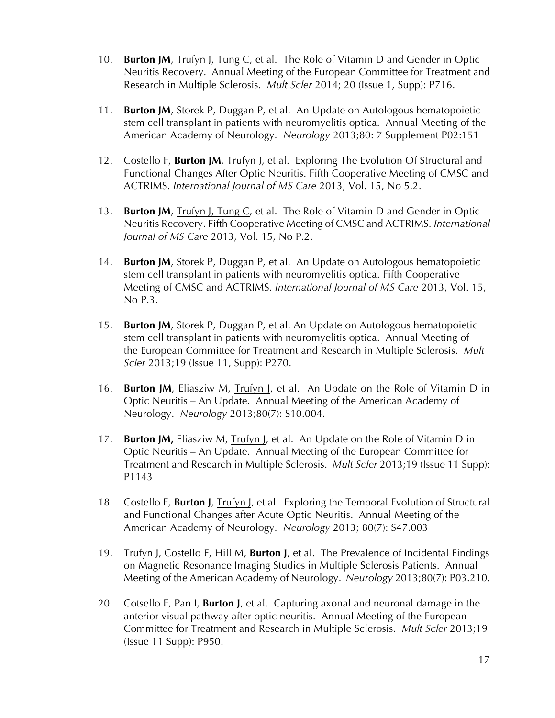- 10. **Burton JM**, Trufyn J, Tung C, et al. The Role of Vitamin D and Gender in Optic Neuritis Recovery. Annual Meeting of the European Committee for Treatment and Research in Multiple Sclerosis. *Mult Scler* 2014; 20 (Issue 1, Supp): P716.
- 11. **Burton JM**, Storek P, Duggan P, et al. An Update on Autologous hematopoietic stem cell transplant in patients with neuromyelitis optica. Annual Meeting of the American Academy of Neurology. *Neurology* 2013;80: 7 Supplement P02:151
- 12. Costello F, **Burton JM**, Trufyn J, et al. Exploring The Evolution Of Structural and Functional Changes After Optic Neuritis. Fifth Cooperative Meeting of CMSC and ACTRIMS. *International Journal of MS Care* 2013, Vol. 15, No 5.2.
- 13. **Burton JM**, Trufyn J, Tung C, et al. The Role of Vitamin D and Gender in Optic Neuritis Recovery. Fifth Cooperative Meeting of CMSC and ACTRIMS*. International Journal of MS Care* 2013, Vol. 15, No P.2.
- 14. **Burton JM**, Storek P, Duggan P, et al. An Update on Autologous hematopoietic stem cell transplant in patients with neuromyelitis optica. Fifth Cooperative Meeting of CMSC and ACTRIMS. *International Journal of MS Care* 2013, Vol. 15, No P.3.
- 15. **Burton JM**, Storek P, Duggan P, et al. An Update on Autologous hematopoietic stem cell transplant in patients with neuromyelitis optica. Annual Meeting of the European Committee for Treatment and Research in Multiple Sclerosis. *Mult Scler* 2013;19 (Issue 11, Supp): P270.
- 16. **Burton JM**, Eliasziw M, Trufyn J, et al. An Update on the Role of Vitamin D in Optic Neuritis – An Update. Annual Meeting of the American Academy of Neurology. *Neurology* 2013;80(7): S10.004.
- 17. **Burton JM,** Eliasziw M, Trufyn J, et al. An Update on the Role of Vitamin D in Optic Neuritis – An Update. Annual Meeting of the European Committee for Treatment and Research in Multiple Sclerosis. *Mult Scler* 2013;19 (Issue 11 Supp): P1143
- 18. Costello F, **Burton J**, Trufyn J, et al. Exploring the Temporal Evolution of Structural and Functional Changes after Acute Optic Neuritis. Annual Meeting of the American Academy of Neurology. *Neurology* 2013; 80(7): S47.003
- 19. Trufyn J, Costello F, Hill M, **Burton J**, et al. The Prevalence of Incidental Findings on Magnetic Resonance Imaging Studies in Multiple Sclerosis Patients. Annual Meeting of the American Academy of Neurology. *Neurology* 2013;80(7): P03.210.
- 20. Cotsello F, Pan I, **Burton J**, et al. Capturing axonal and neuronal damage in the anterior visual pathway after optic neuritis. Annual Meeting of the European Committee for Treatment and Research in Multiple Sclerosis. *Mult Scler* 2013;19 (Issue 11 Supp): P950.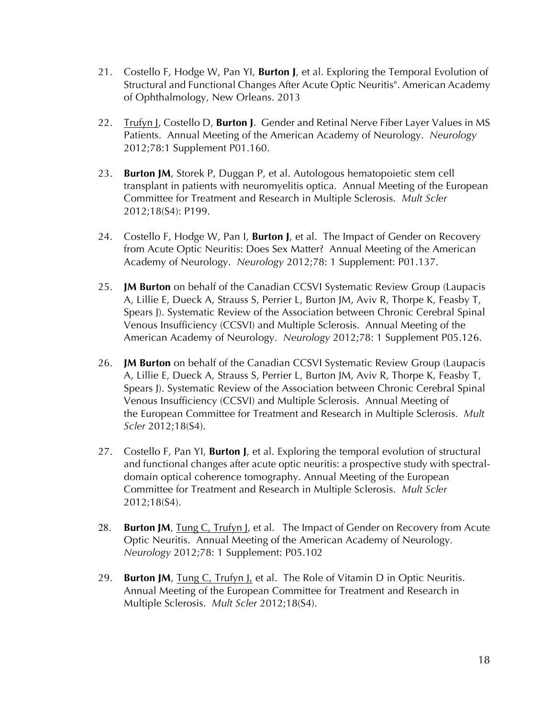- 21. Costello F, Hodge W, Pan YI, **Burton J**, et al. Exploring the Temporal Evolution of Structural and Functional Changes After Acute Optic Neuritis". American Academy of Ophthalmology, New Orleans. 2013
- 22. Trufyn J, Costello D, **Burton J**. Gender and Retinal Nerve Fiber Layer Values in MS Patients. Annual Meeting of the American Academy of Neurology. *Neurology* 2012;78:1 Supplement P01.160.
- 23. **Burton JM**, Storek P, Duggan P, et al. Autologous hematopoietic stem cell transplant in patients with neuromyelitis optica. Annual Meeting of the European Committee for Treatment and Research in Multiple Sclerosis. *Mult Scler* 2012;18(S4): P199.
- 24. Costello F, Hodge W, Pan I, **Burton J**, et al. The Impact of Gender on Recovery from Acute Optic Neuritis: Does Sex Matter? Annual Meeting of the American Academy of Neurology. *Neurology* 2012;78: 1 Supplement: P01.137.
- 25. **JM Burton** on behalf of the Canadian CCSVI Systematic Review Group (Laupacis A, Lillie E, Dueck A, Strauss S, Perrier L, Burton JM, Aviv R, Thorpe K, Feasby T, Spears J). Systematic Review of the Association between Chronic Cerebral Spinal Venous Insufficiency (CCSVI) and Multiple Sclerosis. Annual Meeting of the American Academy of Neurology. *Neurology* 2012;78: 1 Supplement P05.126.
- 26. **JM Burton** on behalf of the Canadian CCSVI Systematic Review Group (Laupacis A, Lillie E, Dueck A, Strauss S, Perrier L, Burton JM, Aviv R, Thorpe K, Feasby T, Spears J). Systematic Review of the Association between Chronic Cerebral Spinal Venous Insufficiency (CCSVI) and Multiple Sclerosis. Annual Meeting of the European Committee for Treatment and Research in Multiple Sclerosis. *Mult Scler* 2012;18(S4).
- 27. Costello F, Pan YI, **Burton J**, et al. Exploring the temporal evolution of structural and functional changes after acute optic neuritis: a prospective study with spectraldomain optical coherence tomography. Annual Meeting of the European Committee for Treatment and Research in Multiple Sclerosis. *Mult Scler* 2012;18(S4).
- 28. **Burton JM**, Tung C, Trufyn J, et al. The Impact of Gender on Recovery from Acute Optic Neuritis. Annual Meeting of the American Academy of Neurology. *Neurology* 2012;78: 1 Supplement: P05.102
- 29. **Burton JM**, Tung C, Trufyn J, et al. The Role of Vitamin D in Optic Neuritis. Annual Meeting of the European Committee for Treatment and Research in Multiple Sclerosis. *Mult Scler* 2012;18(S4).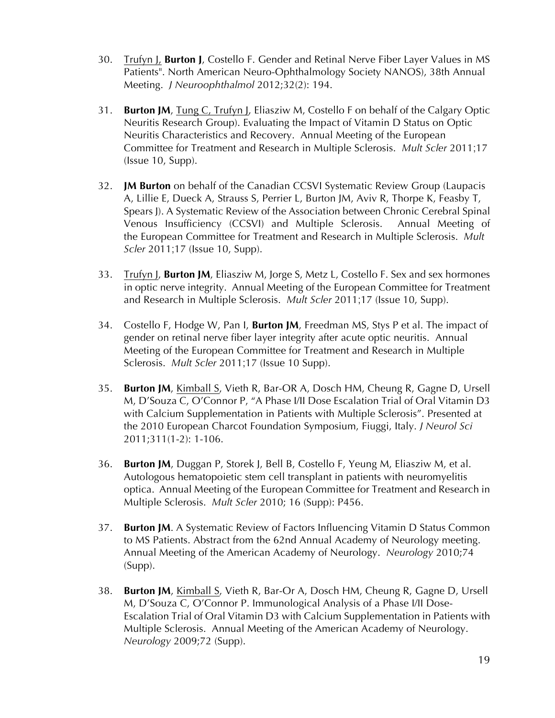- 30. Trufyn J, **Burton J**, Costello F. Gender and Retinal Nerve Fiber Layer Values in MS Patients". North American Neuro-Ophthalmology Society NANOS), 38th Annual Meeting. *J Neuroophthalmol* 2012;32(2): 194.
- 31. **Burton JM**, Tung C, Trufyn J, Eliasziw M, Costello F on behalf of the Calgary Optic Neuritis Research Group). Evaluating the Impact of Vitamin D Status on Optic Neuritis Characteristics and Recovery. Annual Meeting of the European Committee for Treatment and Research in Multiple Sclerosis. *Mult Scler* 2011;17 (Issue 10, Supp).
- 32. **JM Burton** on behalf of the Canadian CCSVI Systematic Review Group (Laupacis A, Lillie E, Dueck A, Strauss S, Perrier L, Burton JM, Aviv R, Thorpe K, Feasby T, Spears J). A Systematic Review of the Association between Chronic Cerebral Spinal Venous Insufficiency (CCSVI) and Multiple Sclerosis. Annual Meeting of the European Committee for Treatment and Research in Multiple Sclerosis. *Mult Scler* 2011;17 (Issue 10, Supp).
- 33. Trufyn J, **Burton JM**, Eliasziw M, Jorge S, Metz L, Costello F. Sex and sex hormones in optic nerve integrity. Annual Meeting of the European Committee for Treatment and Research in Multiple Sclerosis. *Mult Scler* 2011;17 (Issue 10, Supp).
- 34. Costello F, Hodge W, Pan I, **Burton JM**, Freedman MS, Stys P et al. The impact of gender on retinal nerve fiber layer integrity after acute optic neuritis. Annual Meeting of the European Committee for Treatment and Research in Multiple Sclerosis. *Mult Scler* 2011;17 (Issue 10 Supp).
- 35. **Burton JM**, Kimball S, Vieth R, Bar-OR A, Dosch HM, Cheung R, Gagne D, Ursell M, D'Souza C, O'Connor P, "A Phase I/II Dose Escalation Trial of Oral Vitamin D3 with Calcium Supplementation in Patients with Multiple Sclerosis". Presented at the 2010 European Charcot Foundation Symposium, Fiuggi, Italy. *J Neurol Sci* 2011;311(1-2): 1-106.
- 36. **Burton JM**, Duggan P, Storek J, Bell B, Costello F, Yeung M, Eliasziw M, et al. Autologous hematopoietic stem cell transplant in patients with neuromyelitis optica. Annual Meeting of the European Committee for Treatment and Research in Multiple Sclerosis. *Mult Scler* 2010; 16 (Supp): P456.
- 37. **Burton JM**. A Systematic Review of Factors Influencing Vitamin D Status Common to MS Patients. Abstract from the 62nd Annual Academy of Neurology meeting. Annual Meeting of the American Academy of Neurology. *Neurology* 2010;74 (Supp).
- 38. **Burton JM**, Kimball S, Vieth R, Bar-Or A, Dosch HM, Cheung R, Gagne D, Ursell M, D'Souza C, O'Connor P. Immunological Analysis of a Phase I/II Dose-Escalation Trial of Oral Vitamin D3 with Calcium Supplementation in Patients with Multiple Sclerosis. Annual Meeting of the American Academy of Neurology. *Neurology* 2009;72 (Supp).